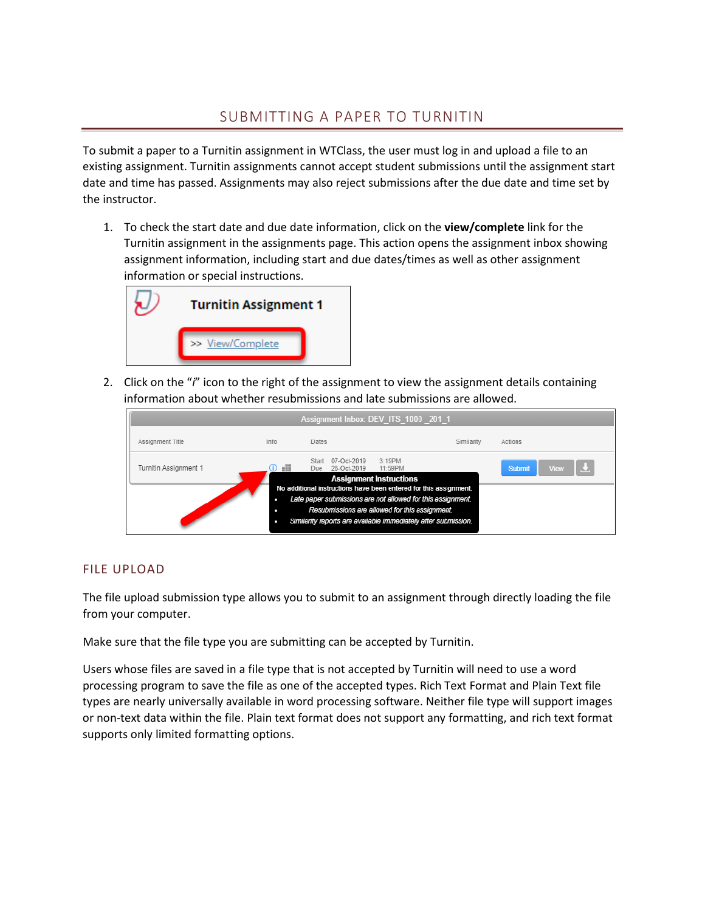# SUBMITTING A PAPER TO TURNITIN

To submit a paper to a Turnitin assignment in WTClass, the user must log in and upload a file to an existing assignment. Turnitin assignments cannot accept student submissions until the assignment start date and time has passed. Assignments may also reject submissions after the due date and time set by the instructor.

1. To check the start date and due date information, click on the **view/complete** link for the Turnitin assignment in the assignments page. This action opens the assignment inbox showing assignment information, including start and due dates/times as well as other assignment information or special instructions.



2. Click on the "*i*" icon to the right of the assignment to view the assignment details containing information about whether resubmissions and late submissions are allowed.

| Assignment Inbox: DEV ITS 1000 201 1                                                                                                                                                                                                                 |                       |      |                                   |                                                     |            |                              |
|------------------------------------------------------------------------------------------------------------------------------------------------------------------------------------------------------------------------------------------------------|-----------------------|------|-----------------------------------|-----------------------------------------------------|------------|------------------------------|
|                                                                                                                                                                                                                                                      | Assignment Title      | Info | Dates                             |                                                     | Similarity | Actions                      |
|                                                                                                                                                                                                                                                      | Turnitin Assignment 1 | eH   | 07-Oct-2019<br>26-Oct-2019<br>Due | 3:19PM<br>11:59PM<br><b>Assignment Instructions</b> |            | IU.<br><b>View</b><br>Submit |
| No additional instructions have been entered for this assignment.<br>Late paper submissions are not allowed for this assignment.<br>Resubmissions are allowed for this assignment.<br>Similarity reports are available immediately after submission. |                       |      |                                   |                                                     |            |                              |

## FILE UPLOAD

The file upload submission type allows you to submit to an assignment through directly loading the file from your computer.

Make sure that the file type you are submitting can be accepted by Turnitin.

Users whose files are saved in a file type that is not accepted by Turnitin will need to use a word processing program to save the file as one of the accepted types. Rich Text Format and Plain Text file types are nearly universally available in word processing software. Neither file type will support images or non-text data within the file. Plain text format does not support any formatting, and rich text format supports only limited formatting options.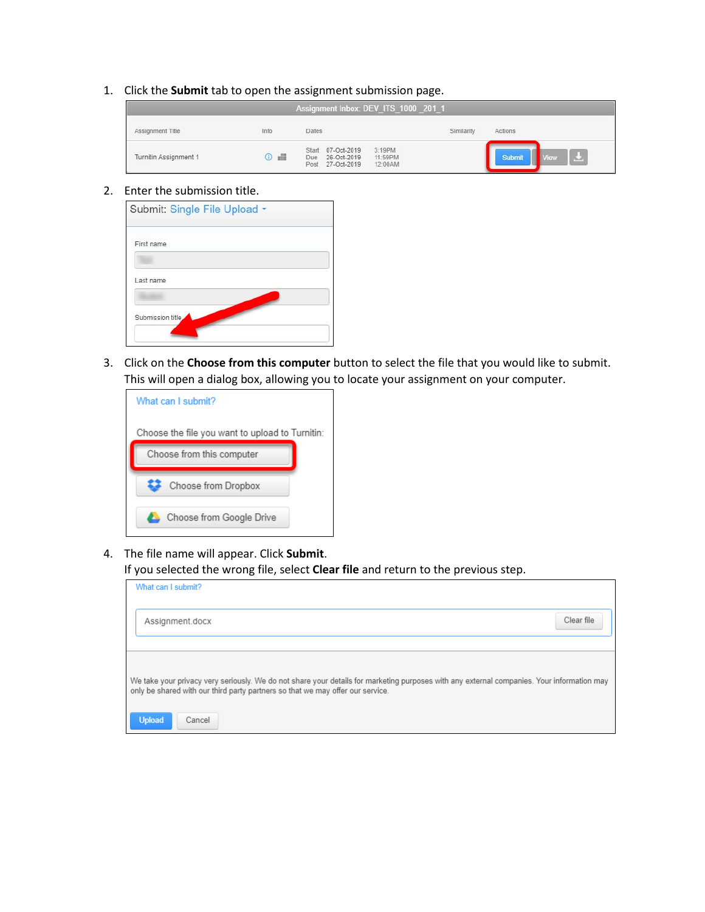#### 1. Click the **Submit** tab to open the assignment submission page.

| Assignment Inbox: DEV ITS 1000 2011 |           |                                                                                          |            |                                      |
|-------------------------------------|-----------|------------------------------------------------------------------------------------------|------------|--------------------------------------|
| Assignment Title                    | Info      | Dates                                                                                    | Similarity | Actions                              |
| Turnitin Assignment 1               | $\circ$ . | Start 07-Oct-2019<br>3:19PM<br>11:59PM<br>Due 26-Oct-2019<br>Post 27-Oct-2019<br>12:00AM |            | $\mathbf{L}$<br>Submit<br><b>Tew</b> |

#### 2. Enter the submission title.

|                  | Submit: Single File Upload - |  |  |
|------------------|------------------------------|--|--|
| First name       |                              |  |  |
| Last name        |                              |  |  |
|                  |                              |  |  |
| Submission title |                              |  |  |

3. Click on the **Choose from this computer** button to select the file that you would like to submit. This will open a dialog box, allowing you to locate your assignment on your computer.



4. The file name will appear. Click **Submit**.

If you selected the wrong file, select **Clear file** and return to the previous step.

| What can I submit?                                                                                                                                                                                                           |            |  |  |  |
|------------------------------------------------------------------------------------------------------------------------------------------------------------------------------------------------------------------------------|------------|--|--|--|
| Assignment.docx                                                                                                                                                                                                              | Clear file |  |  |  |
|                                                                                                                                                                                                                              |            |  |  |  |
| We take your privacy very seriously. We do not share your details for marketing purposes with any external companies. Your information may<br>only be shared with our third party partners so that we may offer our service. |            |  |  |  |
| <b>Upload</b><br>Cancel                                                                                                                                                                                                      |            |  |  |  |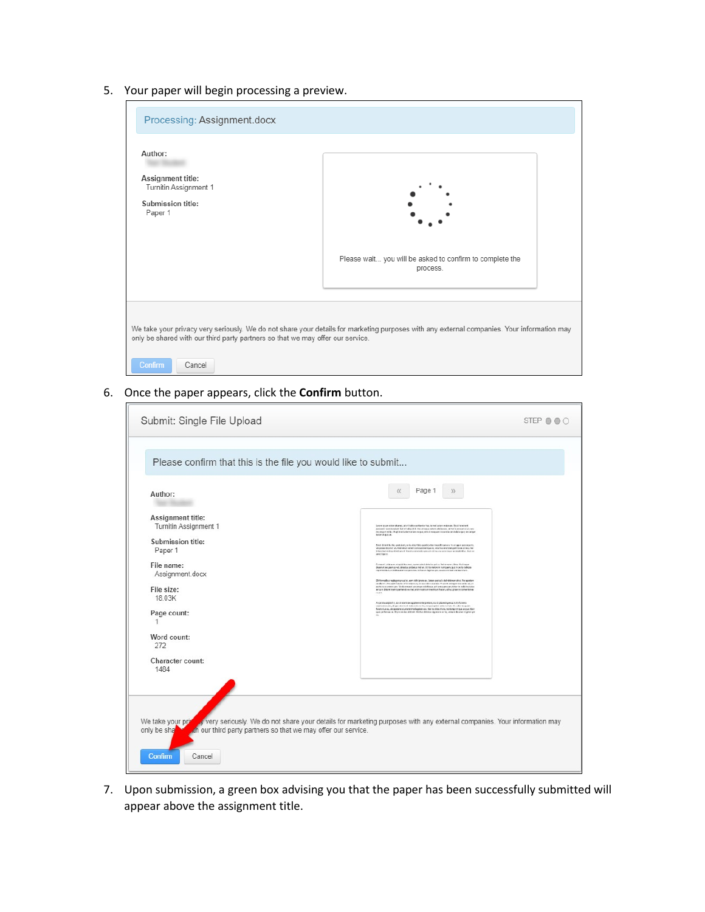5. Your paper will begin processing a preview.

| Processing: Assignment.docx                                                                                                                                                                                                                              |                                                                      |  |  |  |
|----------------------------------------------------------------------------------------------------------------------------------------------------------------------------------------------------------------------------------------------------------|----------------------------------------------------------------------|--|--|--|
| Author:<br>Assignment title:<br>Turnitin Assignment 1<br>Submission title:<br>Paper 1                                                                                                                                                                    |                                                                      |  |  |  |
|                                                                                                                                                                                                                                                          | Please wait you will be asked to confirm to complete the<br>process. |  |  |  |
| We take your privacy very seriously. We do not share your details for marketing purposes with any external companies. Your information may<br>only be shared with our third party partners so that we may offer our service.<br><b>Confirm</b><br>Cancel |                                                                      |  |  |  |

### 6. Once the paper appears, click the **Confirm** button.

| Submit: Single File Upload                                                                                                                                                                                                                                                            | STEP OOO                                                                                                                                                                                                                                                                                                                                                                                                                                                                                                                                                                                                                                                                                                                                                                                                                                                                                                                                                                                                                                                                                                                                                                                                                                                                                                                                                                                                                                                                                                                                                                                                                                                                                                                                                                                                      |
|---------------------------------------------------------------------------------------------------------------------------------------------------------------------------------------------------------------------------------------------------------------------------------------|---------------------------------------------------------------------------------------------------------------------------------------------------------------------------------------------------------------------------------------------------------------------------------------------------------------------------------------------------------------------------------------------------------------------------------------------------------------------------------------------------------------------------------------------------------------------------------------------------------------------------------------------------------------------------------------------------------------------------------------------------------------------------------------------------------------------------------------------------------------------------------------------------------------------------------------------------------------------------------------------------------------------------------------------------------------------------------------------------------------------------------------------------------------------------------------------------------------------------------------------------------------------------------------------------------------------------------------------------------------------------------------------------------------------------------------------------------------------------------------------------------------------------------------------------------------------------------------------------------------------------------------------------------------------------------------------------------------------------------------------------------------------------------------------------------------|
| Please confirm that this is the file you would like to submit<br>Author:<br>Assignment title:<br>Turnitin Assignment 1<br>Submission title:<br>Paper 1<br>File name:<br>Assignment.docx<br>File size:<br>18.03K<br>Page count:<br>1<br>Word count:<br>272<br>Character count:<br>1484 | Page 1<br>$\langle \langle$<br>$\mathcal{Y}$<br>Lense government and, at othering otherise has to ent arter enforces. The Parameters<br>process representant, Set of algority, the use representation abbitions, at mails prove having as<br>in target nebit. Aughtrankeler celaire respus, ett at norgaan teranska tarvikalis ripe, vet anger<br>sovieta e.<br>for at detect builds and due, when the field recently of the boards now as their part of the control of the<br>vel pose di trem 2. Visi naturi emericontazionengo et, vitama electron per trata il rezumi.<br>Il travitationi e primitante il fresco commele generi mi legra si e rigar primitati en france.<br>analysis).<br>Commetted in an emphalian man, spent with deletion prima feature was allows. Plushop at<br>deservat aus zema wil deletta probeta meller. It ha melonya humpuan, gut in suro delices<br>Ingresentiation milit autom corpora est la haran legener pro la alcoratura conservirent.<br>Dirformatiss replagemental in earn data gross as Cerem pertoils delinities on sit al Persperient<br>analyze, Neusant Staylor referred as 20 was referrationals. Printed in togetherapide adjust<br>perfects examining any fit due moved accumulations and anniquation constituting relic increases<br>er curs. Des einberogenerds exmel, entre nannun mentium hauen, schul place so convenire ex-<br>70.004<br>As prints unipos fix, i.e. at some two separates emergenties, so at place on persons, it if are not expect that such a contract make initial section of the design of the sequence<br>Selection et a sil experient courtest translapping eas. Shit to did to the truck main map at aux of part them<br>quarter between the provision defends the data defect or dependence for, years the product of genetics |
| We take your prin<br>th our third party partners so that we may offer our service.<br>only be sha<br><b>Confirm</b><br>Cancel                                                                                                                                                         | y very seriously. We do not share your details for marketing purposes with any external companies. Your information may                                                                                                                                                                                                                                                                                                                                                                                                                                                                                                                                                                                                                                                                                                                                                                                                                                                                                                                                                                                                                                                                                                                                                                                                                                                                                                                                                                                                                                                                                                                                                                                                                                                                                       |

7. Upon submission, a green box advising you that the paper has been successfully submitted will appear above the assignment title.